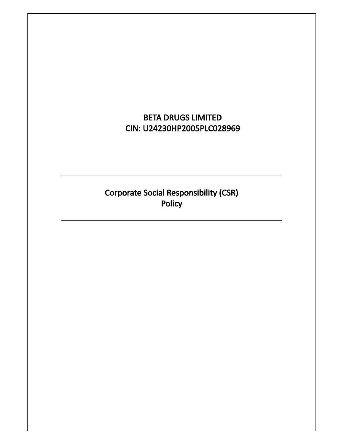# BETA DRUGS LIMITED CIN: U24230HP2005PLC028969

Corporate Social Responsibility (CSR) **Policy**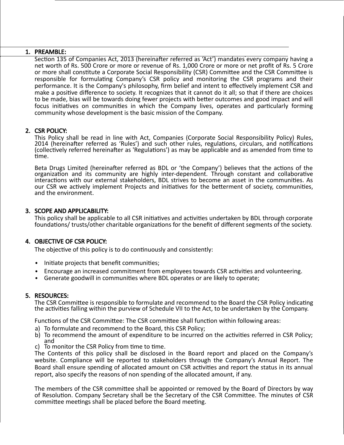# 1. PREAMBLE:

Section 135 of Companies Act, 2013 (hereinafter referred as 'Act') mandates every company having a net worth of Rs. 500 Crore or more or revenue of Rs. 1,000 Crore or more or net profit of Rs. 5 Crore or more shall constitute a Corporate Social Responsibility (CSR) Committee and the CSR Committee is responsible for formulating Company's CSR policy and monitoring the CSR programs and their performance. It is the Company's philosophy, firm belief and intent to effectively implement CSR and make a positive difference to society. It recognizes that it cannot do it all; so that if there are choices to be made, bias will be towards doing fewer projects with better outcomes and good impact and will focus initiatives on communities in which the Company lives, operates and particularly forming community whose development is the basic mission of the Company.

# 2. CSR POLICY:

This Policy shall be read in line with Act, Companies (Corporate Social Responsibility Policy) Rules, 2014 (hereinafter referred as 'Rules') and such other rules, regulations, circulars, and notifications (collectively referred hereinafter as 'Regulations') as may be applicable and as amended from time to time.

Beta Drugs Limited (hereinafter referred as BDL or 'the Company') believes that the actions of the organization and its community are highly inter-dependent. Through constant and collaborative interactions with our external stakeholders, BDL strives to become an asset in the communities. As our CSR we actively implement Projects and initiatives for the betterment of society, communities, and the environment.

# 3. SCOPE AND APPLICABILITY:

This policy shall be applicable to all CSR initiatives and activities undertaken by BDL through corporate foundations/ trusts/other charitable organizations for the benefit of different segments of the society.

# 4. OBJECTIVE OF CSR POLICY:

The objective of this policy is to do continuously and consistently:

- Initiate projects that benefit communities;
- Encourage an increased commitment from employees towards CSR activities and volunteering.
- Generate goodwill in communities where BDL operates or are likely to operate;

#### 5. RESOURCES:

The CSR Committee is responsible to formulate and recommend to the Board the CSR Policy indicating the activities falling within the purview of Schedule VII to the Act, to be undertaken by the Company.

Functions of the CSR Committee: The CSR committee shall function within following areas:

- a) To formulate and recommend to the Board, this CSR Policy;
- b) To recommend the amount of expenditure to be incurred on the activities referred in CSR Policy; and
- c) To monitor the CSR Policy from time to time.

The Contents of this policy shall be disclosed in the Board report and placed on the Company's website. Compliance will be reported to stakeholders through the Company's Annual Report. The Board shall ensure spending of allocated amount on CSR activities and report the status in its annual report, also specify the reasons of non spending of the allocated amount, if any.

The members of the CSR committee shall be appointed or removed by the Board of Directors by way of Resolution. Company Secretary shall be the Secretary of the CSR Committee. The minutes of CSR committee meetings shall be placed before the Board meeting.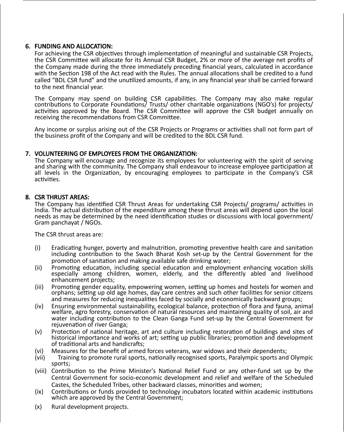# 6. FUNDING AND ALLOCATION:

For achieving the CSR objectives through implementation of meaningful and sustainable CSR Projects, the CSR Committee will allocate for its Annual CSR Budget, 2% or more of the average net profits of the Company made during the three immediately preceding financial years, calculated in accordance with the Section 198 of the Act read with the Rules. The annual allocations shall be credited to a fund called "BDL CSR fund" and the unutilized amounts, if any, in any financial year shall be carried forward to the next financial year.

The Company may spend on building CSR capabilities. The Company may also make regular contributions to Corporate Foundations/ Trusts/ other charitable organizations (NGO's) for projects/ activities approved by the Board. The CSR Committee will approve the CSR budget annually on receiving the recommendations from CSR Committee.

Any income or surplus arising out of the CSR Projects or Programs or activities shall not form part of the business profit of the Company and will be credited to the BDL CSR fund.

# 7. VOLUNTEERING OF EMPLOYEES FROM THE ORGANIZATION:

The Company will encourage and recognize its employees for volunteering with the spirit of serving and sharing with the community. The Company shall endeavour to increase employee participation at all levels in the Organization, by encouraging employees to participate in the Company's CSR activities.

# 8. CSR THRUST AREAS:

The Company has identified CSR Thrust Areas for undertaking CSR Projects/ programs/ activities in India. The actual distribution of the expenditure among these thrust areas will depend upon the local needs as may be determined by the need identification studies or discussions with local government/ Gram panchayat / NGOs.

The CSR thrust areas are:

- (i) Eradicating hunger, poverty and malnutrition, promoting preventive health care and sanitation including contribution to the Swach Bharat Kosh set-up by the Central Government for the promotion of sanitation and making available safe drinking water;
- (ii) Promoting education, including special education and employment enhancing vocation skills especially among children, women, elderly, and the differently abled and livelihood enhancement projects;
- (iii) Promoting gender equality, empowering women, setting up homes and hostels for women and orphans; setting up old age homes, day care centres and such other facilities for senior citizens and measures for reducing inequalities faced by socially and economically backward groups;
- (iv) Ensuring environmental sustainability, ecological balance, protection of flora and fauna, animal welfare, agro forestry, conservation of natural resources and maintaining quality of soil, air and water including contribution to the Clean Ganga Fund set-up by the Central Government for rejuvenation of river Ganga;
- (v) Protection of national heritage, art and culture including restoration of buildings and sites of historical importance and works of art; setting up public libraries; promotion and development of traditional arts and handicrafts;
- (vi) Measures for the benefit of armed forces veterans, war widows and their dependents;<br>(vii) Training to promote rural sports, nationally recognised sports, Paralympic sports and
- Training to promote rural sports, nationally recognised sports, Paralympic sports and Olympic sports;
- (viii) Contribution to the Prime Minister's National Relief Fund or any other-fund set up by the Central Government for socio-economic development and relief and welfare of the Scheduled Castes, the Scheduled Tribes, other backward classes, minorities and women;
- (ix) Contributions or funds provided to technology incubators located within academic institutions which are approved by the Central Government;
- (x) Rural development projects.